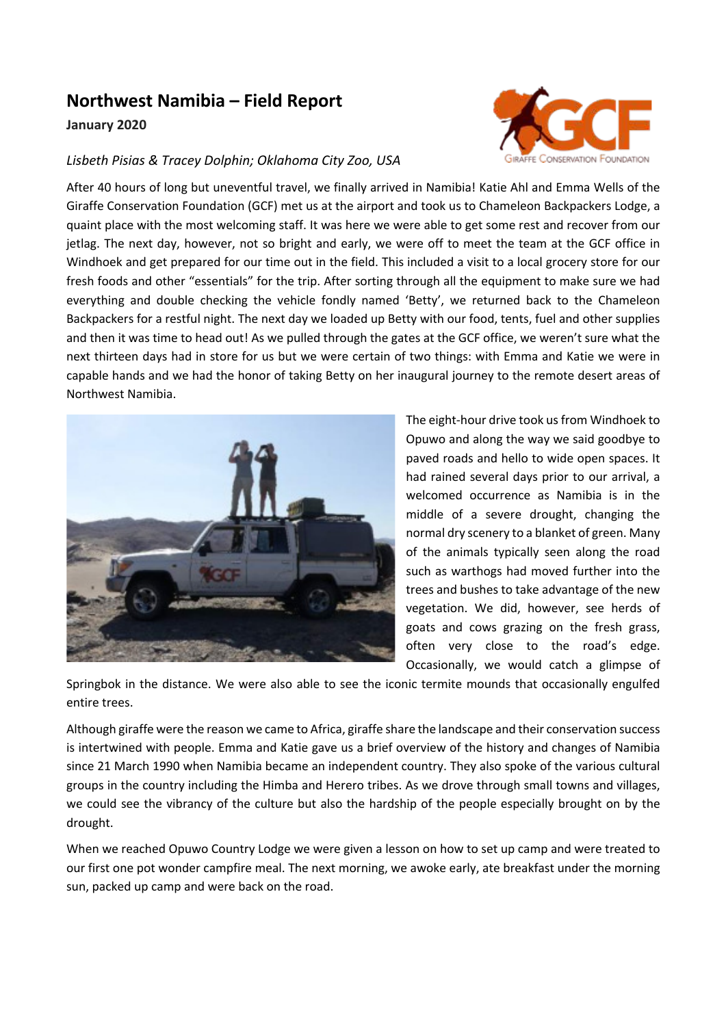## **Northwest Namibia – Field Report**

## **January 2020**

## *Lisbeth Pisias & Tracey Dolphin; Oklahoma City Zoo, USA*

After 40 hours of long but uneventful travel, we finally arrived in Namibia! Katie Ahl and Emma Wells of the Giraffe Conservation Foundation (GCF) met us at the airport and took us to Chameleon Backpackers Lodge, a quaint place with the most welcoming staff. It was here we were able to get some rest and recover from our jetlag. The next day, however, not so bright and early, we were off to meet the team at the GCF office in Windhoek and get prepared for our time out in the field. This included a visit to a local grocery store for our fresh foods and other "essentials" for the trip. After sorting through all the equipment to make sure we had everything and double checking the vehicle fondly named 'Betty', we returned back to the Chameleon Backpackers for a restful night. The next day we loaded up Betty with our food, tents, fuel and other supplies and then it was time to head out! As we pulled through the gates at the GCF office, we weren't sure what the next thirteen days had in store for us but we were certain of two things: with Emma and Katie we were in capable hands and we had the honor of taking Betty on her inaugural journey to the remote desert areas of Northwest Namibia.



The eight-hour drive took us from Windhoek to Opuwo and along the way we said goodbye to paved roads and hello to wide open spaces. It had rained several days prior to our arrival, a welcomed occurrence as Namibia is in the middle of a severe drought, changing the normal dry scenery to a blanket of green. Many of the animals typically seen along the road such as warthogs had moved further into the trees and bushes to take advantage of the new vegetation. We did, however, see herds of goats and cows grazing on the fresh grass, often very close to the road's edge. Occasionally, we would catch a glimpse of

Springbok in the distance. We were also able to see the iconic termite mounds that occasionally engulfed entire trees.

Although giraffe were the reason we came to Africa, giraffe share the landscape and their conservation success is intertwined with people. Emma and Katie gave us a brief overview of the history and changes of Namibia since 21 March 1990 when Namibia became an independent country. They also spoke of the various cultural groups in the country including the Himba and Herero tribes. As we drove through small towns and villages, we could see the vibrancy of the culture but also the hardship of the people especially brought on by the drought.

When we reached Opuwo Country Lodge we were given a lesson on how to set up camp and were treated to our first one pot wonder campfire meal. The next morning, we awoke early, ate breakfast under the morning sun, packed up camp and were back on the road.

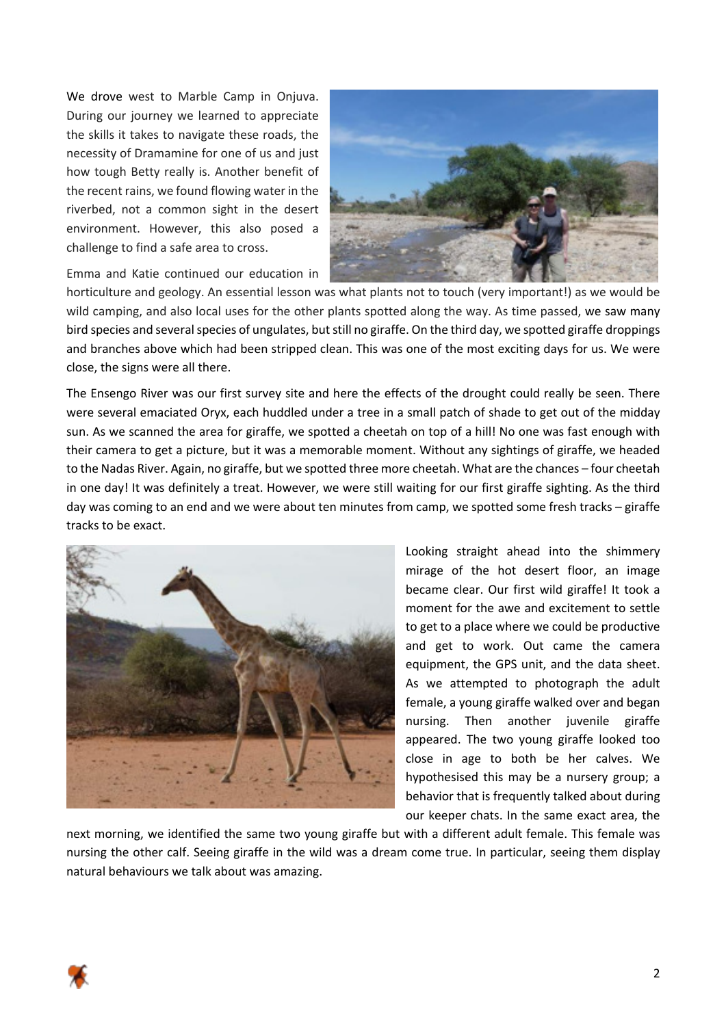We drove west to Marble Camp in Onjuva. During our journey we learned to appreciate the skills it takes to navigate these roads, the necessity of Dramamine for one of us and just how tough Betty really is. Another benefit of the recent rains, we found flowing water in the riverbed, not a common sight in the desert environment. However, this also posed a challenge to find a safe area to cross.



Emma and Katie continued our education in

horticulture and geology. An essential lesson was what plants not to touch (very important!) as we would be wild camping, and also local uses for the other plants spotted along the way. As time passed, we saw many bird species and several species of ungulates, but still no giraffe. On the third day, we spotted giraffe droppings and branches above which had been stripped clean. This was one of the most exciting days for us. We were close, the signs were all there.

The Ensengo River was our first survey site and here the effects of the drought could really be seen. There were several emaciated Oryx, each huddled under a tree in a small patch of shade to get out of the midday sun. As we scanned the area for giraffe, we spotted a cheetah on top of a hill! No one was fast enough with their camera to get a picture, but it was a memorable moment. Without any sightings of giraffe, we headed to the Nadas River. Again, no giraffe, but we spotted three more cheetah. What are the chances – four cheetah in one day! It was definitely a treat. However, we were still waiting for our first giraffe sighting. As the third day was coming to an end and we were about ten minutes from camp, we spotted some fresh tracks – giraffe tracks to be exact.



Looking straight ahead into the shimmery mirage of the hot desert floor, an image became clear. Our first wild giraffe! It took a moment for the awe and excitement to settle to get to a place where we could be productive and get to work. Out came the camera equipment, the GPS unit, and the data sheet. As we attempted to photograph the adult female, a young giraffe walked over and began nursing. Then another juvenile giraffe appeared. The two young giraffe looked too close in age to both be her calves. We hypothesised this may be a nursery group; a behavior that is frequently talked about during our keeper chats. In the same exact area, the

next morning, we identified the same two young giraffe but with a different adult female. This female was nursing the other calf. Seeing giraffe in the wild was a dream come true. In particular, seeing them display natural behaviours we talk about was amazing.

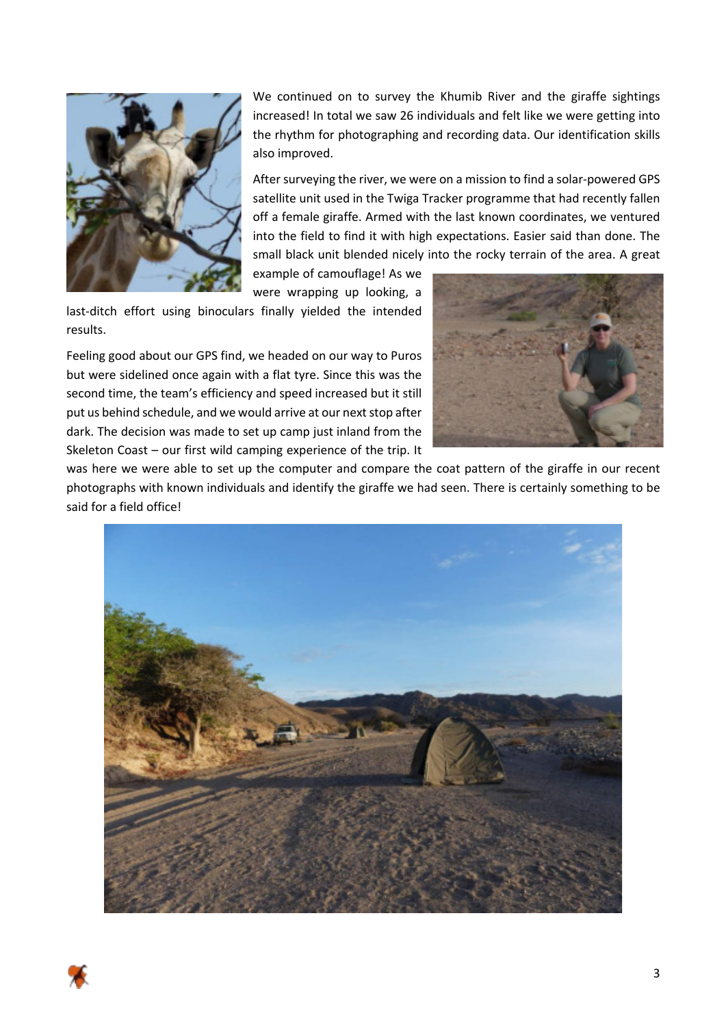

We continued on to survey the Khumib River and the giraffe sightings increased! In total we saw 26 individuals and felt like we were getting into the rhythm for photographing and recording data. Our identification skills also improved.

After surveying the river, we were on a mission to find a solar-powered GPS satellite unit used in the Twiga Tracker programme that had recently fallen off a female giraffe. Armed with the last known coordinates, we ventured into the field to find it with high expectations. Easier said than done. The small black unit blended nicely into the rocky terrain of the area. A great

example of camouflage! As we were wrapping up looking, a

last-ditch effort using binoculars finally yielded the intended results.

Feeling good about our GPS find, we headed on our way to Puros but were sidelined once again with a flat tyre. Since this was the second time, the team's efficiency and speed increased but it still put us behind schedule, and we would arrive at our next stop after dark. The decision was made to set up camp just inland from the Skeleton Coast – our first wild camping experience of the trip. It



was here we were able to set up the computer and compare the coat pattern of the giraffe in our recent photographs with known individuals and identify the giraffe we had seen. There is certainly something to be said for a field office!

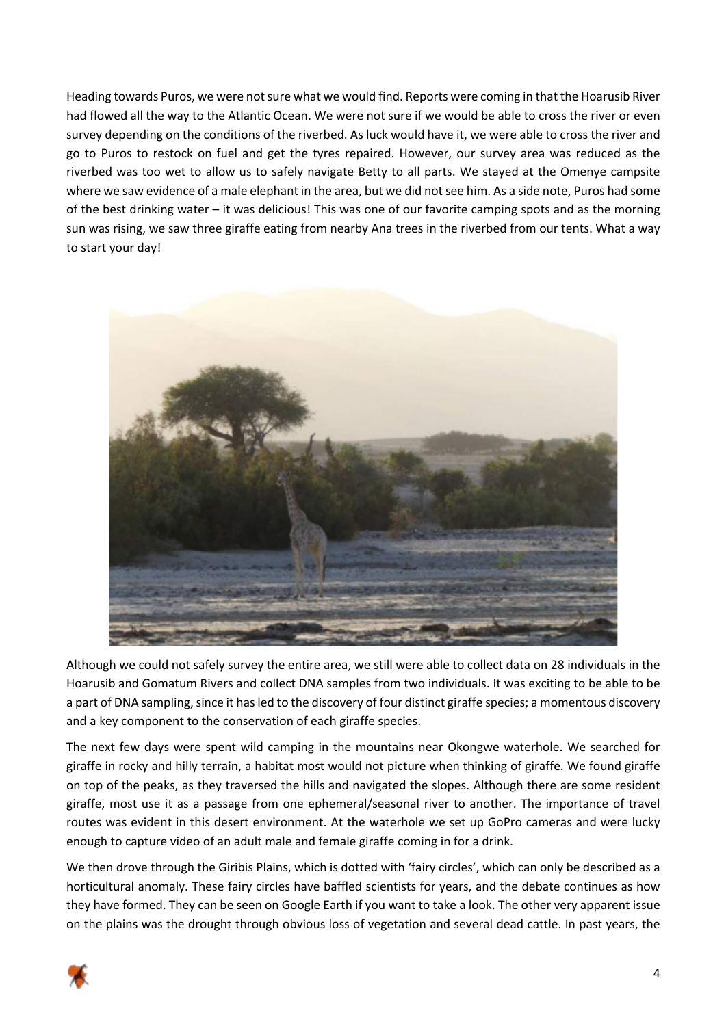Heading towards Puros, we were not sure what we would find. Reports were coming in that the Hoarusib River had flowed all the way to the Atlantic Ocean. We were not sure if we would be able to cross the river or even survey depending on the conditions of the riverbed. As luck would have it, we were able to cross the river and go to Puros to restock on fuel and get the tyres repaired. However, our survey area was reduced as the riverbed was too wet to allow us to safely navigate Betty to all parts. We stayed at the Omenye campsite where we saw evidence of a male elephant in the area, but we did not see him. As a side note, Puros had some of the best drinking water – it was delicious! This was one of our favorite camping spots and as the morning sun was rising, we saw three giraffe eating from nearby Ana trees in the riverbed from our tents. What a way to start your day!



Although we could not safely survey the entire area, we still were able to collect data on 28 individuals in the Hoarusib and Gomatum Rivers and collect DNA samples from two individuals. It was exciting to be able to be a part of DNA sampling, since it has led to the discovery of four distinct giraffe species; a momentous discovery and a key component to the conservation of each giraffe species.

The next few days were spent wild camping in the mountains near Okongwe waterhole. We searched for giraffe in rocky and hilly terrain, a habitat most would not picture when thinking of giraffe. We found giraffe on top of the peaks, as they traversed the hills and navigated the slopes. Although there are some resident giraffe, most use it as a passage from one ephemeral/seasonal river to another. The importance of travel routes was evident in this desert environment. At the waterhole we set up GoPro cameras and were lucky enough to capture video of an adult male and female giraffe coming in for a drink.

We then drove through the Giribis Plains, which is dotted with 'fairy circles', which can only be described as a horticultural anomaly. These fairy circles have baffled scientists for years, and the debate continues as how they have formed. They can be seen on Google Earth if you want to take a look. The other very apparent issue on the plains was the drought through obvious loss of vegetation and several dead cattle. In past years, the

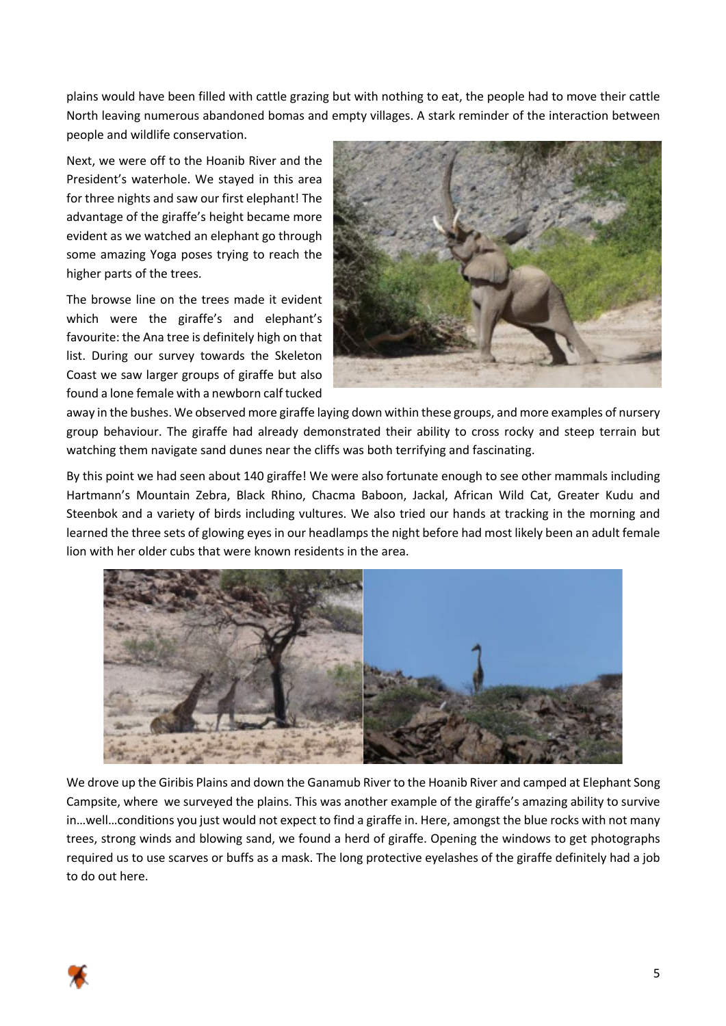plains would have been filled with cattle grazing but with nothing to eat, the people had to move their cattle North leaving numerous abandoned bomas and empty villages. A stark reminder of the interaction between people and wildlife conservation.

Next, we were off to the Hoanib River and the President's waterhole. We stayed in this area for three nights and saw our first elephant! The advantage of the giraffe's height became more evident as we watched an elephant go through some amazing Yoga poses trying to reach the higher parts of the trees.

The browse line on the trees made it evident which were the giraffe's and elephant's favourite: the Ana tree is definitely high on that list. During our survey towards the Skeleton Coast we saw larger groups of giraffe but also found a lone female with a newborn calf tucked



away in the bushes. We observed more giraffe laying down within these groups, and more examples of nursery group behaviour. The giraffe had already demonstrated their ability to cross rocky and steep terrain but watching them navigate sand dunes near the cliffs was both terrifying and fascinating.

By this point we had seen about 140 giraffe! We were also fortunate enough to see other mammals including Hartmann's Mountain Zebra, Black Rhino, Chacma Baboon, Jackal, African Wild Cat, Greater Kudu and Steenbok and a variety of birds including vultures. We also tried our hands at tracking in the morning and learned the three sets of glowing eyes in our headlamps the night before had most likely been an adult female lion with her older cubs that were known residents in the area.



We drove up the Giribis Plains and down the Ganamub River to the Hoanib River and camped at Elephant Song Campsite, where we surveyed the plains. This was another example of the giraffe's amazing ability to survive in…well…conditions you just would not expect to find a giraffe in. Here, amongst the blue rocks with not many trees, strong winds and blowing sand, we found a herd of giraffe. Opening the windows to get photographs required us to use scarves or buffs as a mask. The long protective eyelashes of the giraffe definitely had a job to do out here.